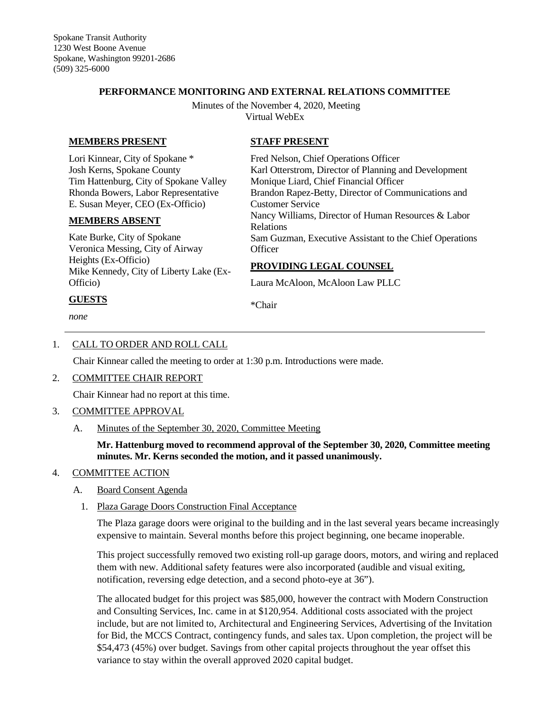## **PERFORMANCE MONITORING AND EXTERNAL RELATIONS COMMITTEE**

Minutes of the November 4, 2020, Meeting Virtual WebEx

**STAFF PRESENT**

Customer Service

Fred Nelson, Chief Operations Officer

Monique Liard, Chief Financial Officer

**PROVIDING LEGAL COUNSEL** Laura McAloon, McAloon Law PLLC

Karl Otterstrom, Director of Planning and Development

Brandon Rapez-Betty, Director of Communications and

Nancy Williams, Director of Human Resources & Labor

Sam Guzman, Executive Assistant to the Chief Operations

## **MEMBERS PRESENT**

Lori Kinnear, City of Spokane \* Josh Kerns, Spokane County Tim Hattenburg, City of Spokane Valley Rhonda Bowers, Labor Representative E. Susan Meyer, CEO (Ex-Officio)

#### **MEMBERS ABSENT**

Kate Burke, City of Spokane Veronica Messing, City of Airway Heights (Ex-Officio) Mike Kennedy, City of Liberty Lake (Ex-Officio)

## **GUESTS**

*none*

\*Chair

Relations

**Officer** 

## 1. CALL TO ORDER AND ROLL CALL

Chair Kinnear called the meeting to order at 1:30 p.m. Introductions were made.

2. COMMITTEE CHAIR REPORT

Chair Kinnear had no report at this time.

- 3. COMMITTEE APPROVAL
	- A. Minutes of the September 30, 2020, Committee Meeting

**Mr. Hattenburg moved to recommend approval of the September 30, 2020, Committee meeting minutes. Mr. Kerns seconded the motion, and it passed unanimously.**

## 4. COMMITTEE ACTION

- A. Board Consent Agenda
	- 1. Plaza Garage Doors Construction Final Acceptance

The Plaza garage doors were original to the building and in the last several years became increasingly expensive to maintain. Several months before this project beginning, one became inoperable.

This project successfully removed two existing roll-up garage doors, motors, and wiring and replaced them with new. Additional safety features were also incorporated (audible and visual exiting, notification, reversing edge detection, and a second photo-eye at 36").

The allocated budget for this project was \$85,000, however the contract with Modern Construction and Consulting Services, Inc. came in at \$120,954. Additional costs associated with the project include, but are not limited to, Architectural and Engineering Services, Advertising of the Invitation for Bid, the MCCS Contract, contingency funds, and sales tax. Upon completion, the project will be \$54,473 (45%) over budget. Savings from other capital projects throughout the year offset this variance to stay within the overall approved 2020 capital budget.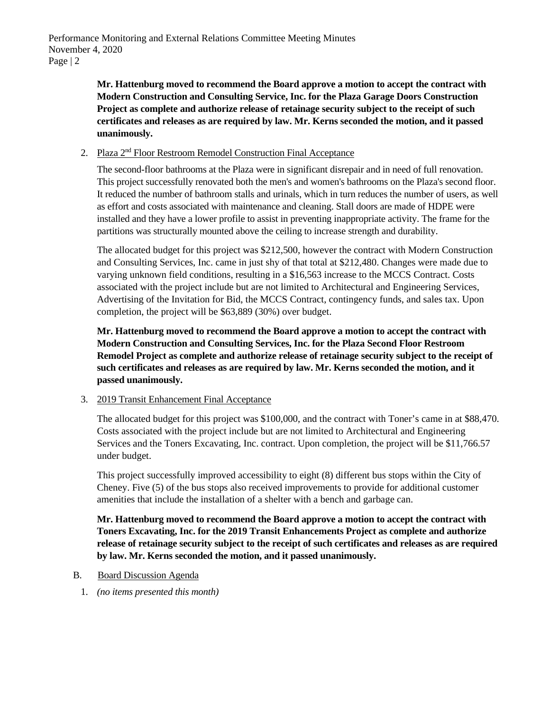**Mr. Hattenburg moved to recommend the Board approve a motion to accept the contract with Modern Construction and Consulting Service, Inc. for the Plaza Garage Doors Construction Project as complete and authorize release of retainage security subject to the receipt of such certificates and releases as are required by law. Mr. Kerns seconded the motion, and it passed unanimously.**

## 2. Plaza 2<sup>nd</sup> Floor Restroom Remodel Construction Final Acceptance

The second-floor bathrooms at the Plaza were in significant disrepair and in need of full renovation. This project successfully renovated both the men's and women's bathrooms on the Plaza's second floor. It reduced the number of bathroom stalls and urinals, which in turn reduces the number of users, as well as effort and costs associated with maintenance and cleaning. Stall doors are made of HDPE were installed and they have a lower profile to assist in preventing inappropriate activity. The frame for the partitions was structurally mounted above the ceiling to increase strength and durability.

The allocated budget for this project was \$212,500, however the contract with Modern Construction and Consulting Services, Inc. came in just shy of that total at \$212,480. Changes were made due to varying unknown field conditions, resulting in a \$16,563 increase to the MCCS Contract. Costs associated with the project include but are not limited to Architectural and Engineering Services, Advertising of the Invitation for Bid, the MCCS Contract, contingency funds, and sales tax. Upon completion, the project will be \$63,889 (30%) over budget.

**Mr. Hattenburg moved to recommend the Board approve a motion to accept the contract with Modern Construction and Consulting Services, Inc. for the Plaza Second Floor Restroom Remodel Project as complete and authorize release of retainage security subject to the receipt of such certificates and releases as are required by law. Mr. Kerns seconded the motion, and it passed unanimously.**

## 3. 2019 Transit Enhancement Final Acceptance

The allocated budget for this project was \$100,000, and the contract with Toner's came in at \$88,470. Costs associated with the project include but are not limited to Architectural and Engineering Services and the Toners Excavating, Inc. contract. Upon completion, the project will be \$11,766.57 under budget.

This project successfully improved accessibility to eight (8) different bus stops within the City of Cheney. Five (5) of the bus stops also received improvements to provide for additional customer amenities that include the installation of a shelter with a bench and garbage can.

**Mr. Hattenburg moved to recommend the Board approve a motion to accept the contract with Toners Excavating, Inc. for the 2019 Transit Enhancements Project as complete and authorize release of retainage security subject to the receipt of such certificates and releases as are required by law. Mr. Kerns seconded the motion, and it passed unanimously.**

- B. Board Discussion Agenda
	- 1. *(no items presented this month)*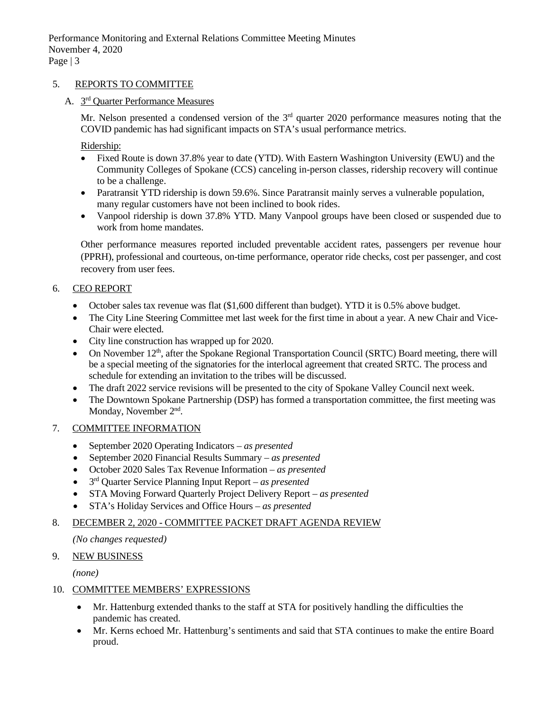## 5. REPORTS TO COMMITTEE

# A. 3rd Quarter Performance Measures

Mr. Nelson presented a condensed version of the  $3<sup>rd</sup>$  quarter 2020 performance measures noting that the COVID pandemic has had significant impacts on STA's usual performance metrics.

Ridership:

- Fixed Route is down 37.8% year to date (YTD). With Eastern Washington University (EWU) and the Community Colleges of Spokane (CCS) canceling in-person classes, ridership recovery will continue to be a challenge.
- Paratransit YTD ridership is down 59.6%. Since Paratransit mainly serves a vulnerable population, many regular customers have not been inclined to book rides.
- Vanpool ridership is down 37.8% YTD. Many Vanpool groups have been closed or suspended due to work from home mandates.

Other performance measures reported included preventable accident rates, passengers per revenue hour (PPRH), professional and courteous, on-time performance, operator ride checks, cost per passenger, and cost recovery from user fees.

## 6. CEO REPORT

- October sales tax revenue was flat (\$1,600 different than budget). YTD it is 0.5% above budget.
- The City Line Steering Committee met last week for the first time in about a year. A new Chair and Vice-Chair were elected.
- City line construction has wrapped up for 2020.
- On November 12<sup>th</sup>, after the Spokane Regional Transportation Council (SRTC) Board meeting, there will be a special meeting of the signatories for the interlocal agreement that created SRTC. The process and schedule for extending an invitation to the tribes will be discussed.
- The draft 2022 service revisions will be presented to the city of Spokane Valley Council next week.
- The Downtown Spokane Partnership (DSP) has formed a transportation committee, the first meeting was Monday, November 2<sup>nd</sup>.

## 7. COMMITTEE INFORMATION

- September 2020 Operating Indicators *as presented*
- September 2020 Financial Results Summary *as presented*
- October 2020 Sales Tax Revenue Information *as presented*
- 3rd Quarter Service Planning Input Report *– as presented*
- STA Moving Forward Quarterly Project Delivery Report *– as presented*
- STA's Holiday Services and Office Hours *– as presented*

## 8. DECEMBER 2, 2020 - COMMITTEE PACKET DRAFT AGENDA REVIEW

*(No changes requested)*

## 9. NEW BUSINESS

*(none)*

## 10. COMMITTEE MEMBERS' EXPRESSIONS

- Mr. Hattenburg extended thanks to the staff at STA for positively handling the difficulties the pandemic has created.
- Mr. Kerns echoed Mr. Hattenburg's sentiments and said that STA continues to make the entire Board proud.